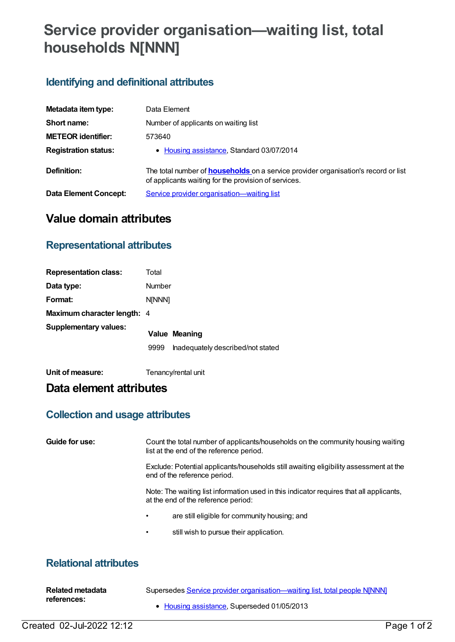# **Service provider organisation—waiting list, total households N[NNN]**

## **Identifying and definitional attributes**

| Metadata item type:         | Data Element                                                                                                                                      |
|-----------------------------|---------------------------------------------------------------------------------------------------------------------------------------------------|
| Short name:                 | Number of applicants on waiting list                                                                                                              |
| <b>METEOR identifier:</b>   | 573640                                                                                                                                            |
| <b>Registration status:</b> | • Housing assistance, Standard 03/07/2014                                                                                                         |
| Definition:                 | The total number of <b>households</b> on a service provider organisation's record or list<br>of applicants waiting for the provision of services. |
| Data Element Concept:       | Service provider organisation-waiting list                                                                                                        |

# **Value domain attributes**

#### **Representational attributes**

| <b>Representation class:</b> | Total         |                                   |
|------------------------------|---------------|-----------------------------------|
| Data type:                   | Number        |                                   |
| Format:                      | <b>NINNN1</b> |                                   |
| Maximum character length: 4  |               |                                   |
| <b>Supplementary values:</b> |               | <b>Value Meaning</b>              |
|                              | 9999          | Inadequately described/not stated |
|                              |               |                                   |

**Unit of measure:** Tenancy/rental unit

## **Data element attributes**

### **Collection and usage attributes**

| Guide for use:        |                                                                                                                                | Count the total number of applicants/households on the community housing waiting<br>list at the end of the reference period. |  |  |  |
|-----------------------|--------------------------------------------------------------------------------------------------------------------------------|------------------------------------------------------------------------------------------------------------------------------|--|--|--|
|                       | Exclude: Potential applicants/households still awaiting eligibility assessment at the<br>end of the reference period.          |                                                                                                                              |  |  |  |
|                       | Note: The waiting list information used in this indicator requires that all applicants,<br>at the end of the reference period: |                                                                                                                              |  |  |  |
|                       |                                                                                                                                | are still eligible for community housing; and                                                                                |  |  |  |
|                       |                                                                                                                                | still wish to pursue their application.                                                                                      |  |  |  |
| Relational attributes |                                                                                                                                |                                                                                                                              |  |  |  |

#### **Relational attributes**

| Related metadata | Supersedes Service provider organisation—waiting list, total people NJNNN] |
|------------------|----------------------------------------------------------------------------|
| references:      |                                                                            |
|                  | • Housing assistance, Superseded 01/05/2013                                |